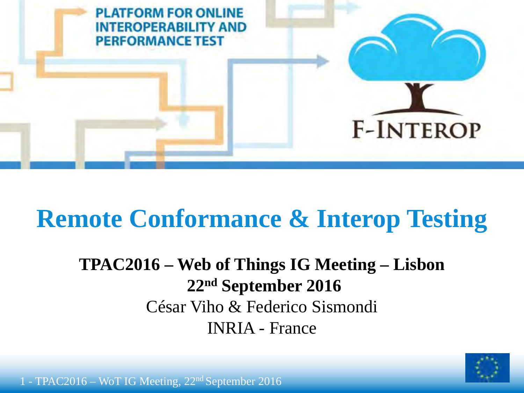

## **Remote Conformance & Interop Testing**

### **TPAC2016 – Web of Things IG Meeting – Lisbon** 22<sup>nd</sup> September 2016 César Viho & Federico Sismondi **INRIA** - France



1 - TPAC2016 – WoT IG Meeting, 22<sup>nd</sup> September 2016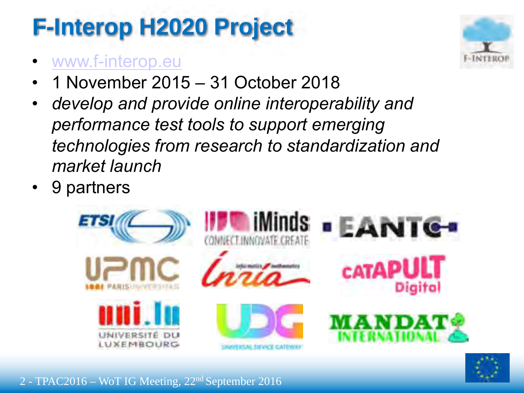## **F-Interop H2020 Project**

- www.f-interop.eu
- 1 November 2015 31 October 2018
- $\cdot$  develop and provide online interoperability and performance test tools to support emerging technologies from research to standardization and market launch
- 9 partners





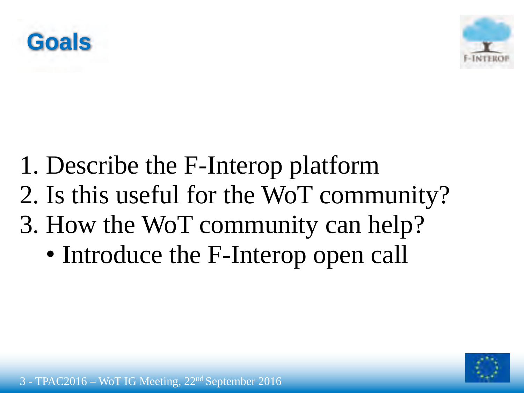



- 1. Describe the F-Interop platform 2. Is this useful for the WoT community? 3. How the WoT community can help?
	- Introduce the F-Interop open call

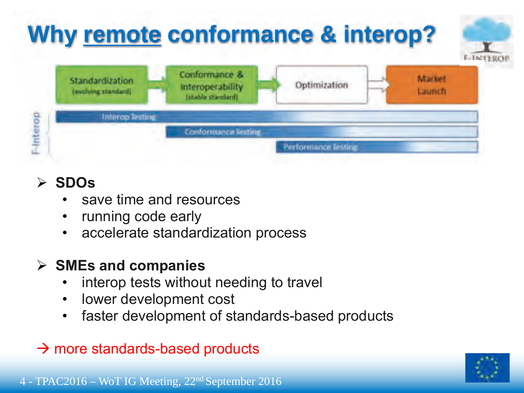

#### **SDOs**  $\blacktriangleright$

- save time and resources
- running code early
- accelerate standardization process

### $\triangleright$  SMEs and companies

- interop tests without needing to travel
- lower development cost  $\bullet$
- faster development of standards-based products  $\bullet$
- $\rightarrow$  more standards-based products

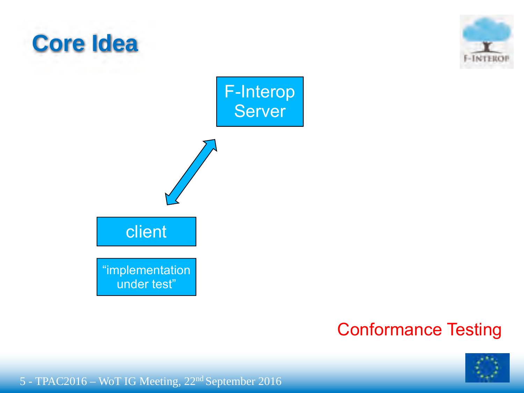

### **Conformance Testing**



5 - TPAC2016 - WoT IG Meeting, 22<sup>nd</sup> September 2016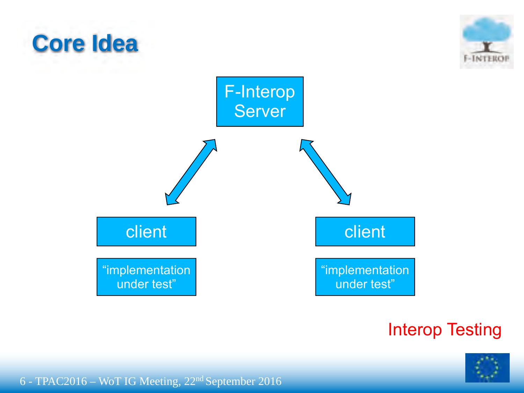

### **Interop Testing**

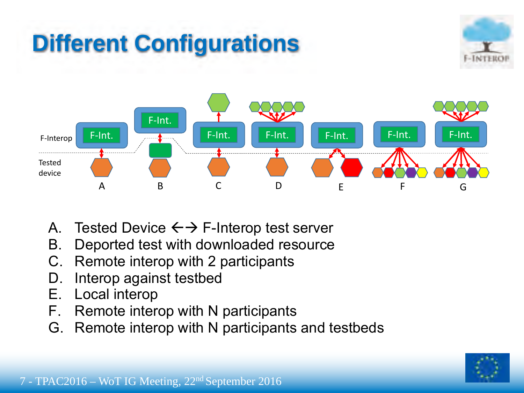## **Different Configurations**





- **B.** Tested Device  $\leftarrow$  > F-Interop test server
- B. Deported test with downloaded resource
- **C.** Remote interop with 2 participants
- **E.** Interop against testbed by device provided by device  $\frac{1}{2}$
- **F.** Local interop **E.** Local devices **remotely connected** 
	- $\overline{B}$   $\overline{B}$  continuity.  $F.$  Remote interop with N participants
- **G.** Remote interop with N participants and testbeds. **develop with FIRE- devices and tothodo** G. Remote interop with N participants and testbeds

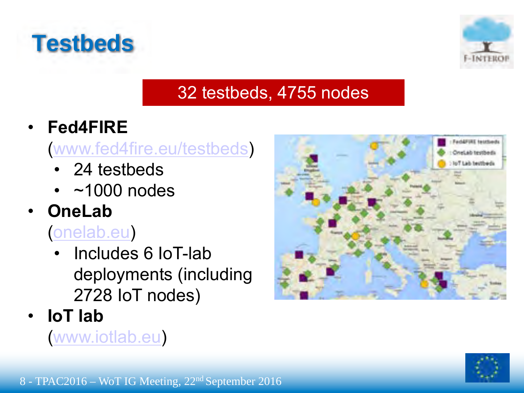



### 32 testbeds, 4755 nodes

 $Fed4FIRE$ 

### www.fed4fire.eu/testbeds

- $\cdot$  24 testbeds
- $\cdot$  ~1000 nodes
- **OneLab**

(onelab.eu)

- Includes 6 IoT-lab deployments (including 2728 IoT nodes)
- ! **3,7'8(6**

www.iotlab.eu)



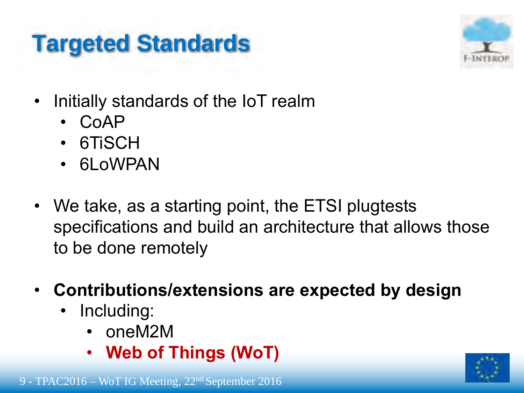## **Targeted Standards**



- Initially standards of the IoT realm
	- $\cdot$  CoAP
	- 6TiSCH
	- 6LoWPAN
- We take, as a starting point, the ETSI plugtests specifications and build an architecture that allows those to be done remotely
- **Contributions/extensions are expected by design** 
	- Including:
		- . oneM2M
		- **Web of Things (WoT)**



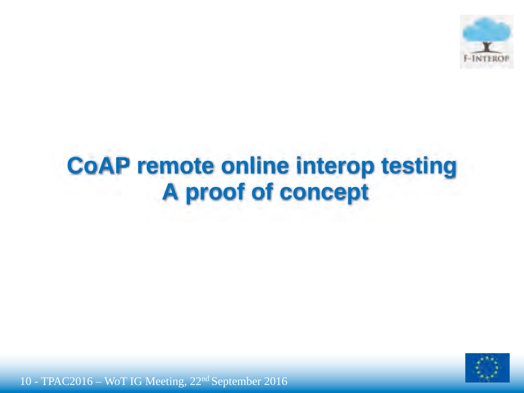

### **CoAP remote online interop testing A proof of concept**

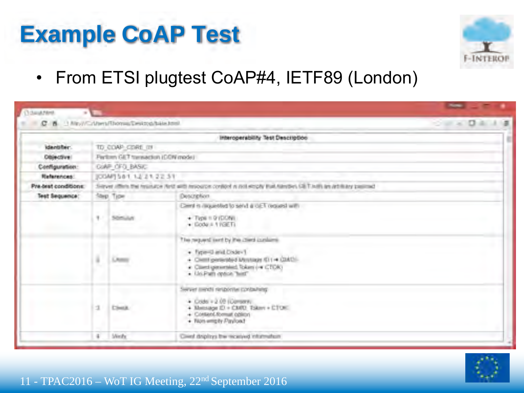### **Example CoAP Test**



From ETSI plugtest CoAP#4, IETF89 (London)  $\bullet$ 

| C 8   New/Chleen/IbonusDestroinbile.html |                                                                                                                          |                 |                                                                                                                                                                          | $-14.0414$ |  |
|------------------------------------------|--------------------------------------------------------------------------------------------------------------------------|-----------------|--------------------------------------------------------------------------------------------------------------------------------------------------------------------------|------------|--|
|                                          |                                                                                                                          |                 | Interoperability Test Description                                                                                                                                        |            |  |
| identifier:                              |                                                                                                                          | TD COAP CORE IN |                                                                                                                                                                          |            |  |
| Objective!                               | Perlinm GET transaction (CON mode)                                                                                       |                 |                                                                                                                                                                          |            |  |
| Configuration:                           | CoMP OF O, BASIC                                                                                                         |                 |                                                                                                                                                                          |            |  |
| <b>Helerences:</b>                       | JODAPJ 581 12 21 22 31                                                                                                   |                 |                                                                                                                                                                          |            |  |
| Pre-best conditions:                     | Sincert (filters the hysikary) And with insparing control is real respect that standing (SET with an art filtery passend |                 |                                                                                                                                                                          |            |  |
| Test Sequence:                           |                                                                                                                          | Nep Type        | Description                                                                                                                                                              |            |  |
|                                          |                                                                                                                          |                 | Climit is requested to send a cit! Traquest with                                                                                                                         |            |  |
|                                          |                                                                                                                          | Somulut         | $+$ Type = 0 (DON)<br>$+$ Ecdy $+$ 11/3ET)                                                                                                                               |            |  |
|                                          | ä                                                                                                                        |                 | The request lient by the clied cuplices<br>· fype=0 and Dister-1<br>+ Client generated Mossage (\$11+ CMC)<br>· Clientigenersled Token (= CTOK)<br>· Us Path optick Text |            |  |
|                                          | $\mathcal{I}$                                                                                                            | <b>Clear</b>    | Server ments response contacting<br>$+$ Code $+2.00$ (Conserv.<br>+ Mensage ID + CMO2 TSkev + CTOE<br>+ Contant/Romat oblicin<br>+ Non-wright Paylord                    |            |  |
|                                          | $\pm$                                                                                                                    | <b>Wedy</b>     | Gived dripling the received information                                                                                                                                  |            |  |



#### 11 - TPAC2016 – WoT IG Meeting, 22<sup>nd</sup> September 2016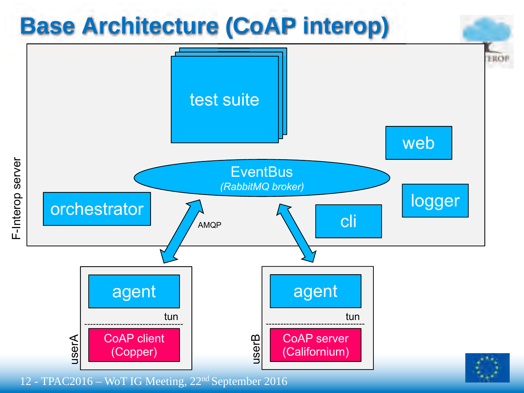

12 - TPAC2016 – WoT IG Meeting, 22nd September 2016

F-Interop server F-Interop server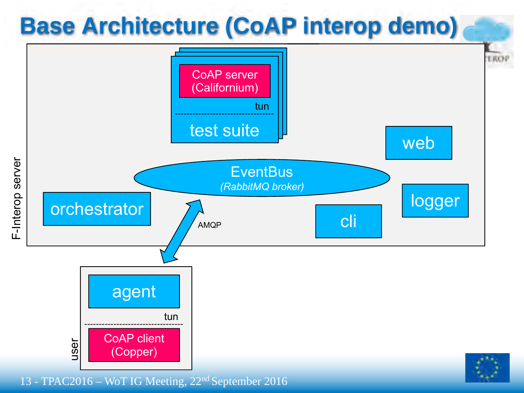

13 - TPAC2016 – WoT IG Meeting, 22nd September 2016

F-Interop server F-Interop server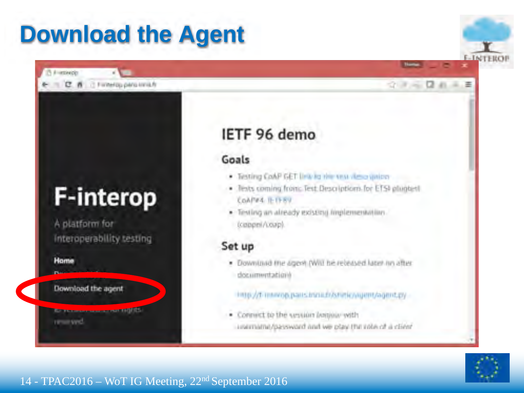### **Download the Agent**

## **F-interop**

E T C R C Fineropperparately

A platform for interoperability testing

Hame

[1] il ustanzio

Download the agent

**Krammannannann 190115** reminived.

### IETF 96 demo

### Goals

- . Testing CoAP GET link to the sea view union
- · Tests coming from: Test Descriptions for ETSI plughest Contra II-11-87
- · Texting an already existing limplementation. (cappel/coap).

#### Set up

· Downland the agest (Will be receased later in after documentations

#### ings/di-mayop.pans.in/ni.fr/shirlic/vigent/agent.py

· Connect to the vession limitiar with unarriama/password and we play the ville of a client



**INTHE** 

ママーロホーモ

#### 14 - TPAC2016 – WoT IG Meeting, 22<sup>nd</sup> September 2016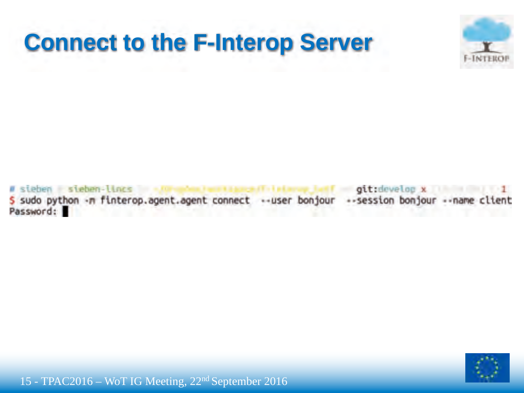



sieben sieben-lincs git:develop x 5 sudo python -n finterop.agent.agent connect --user bonjour --session bonjour --name client Password:

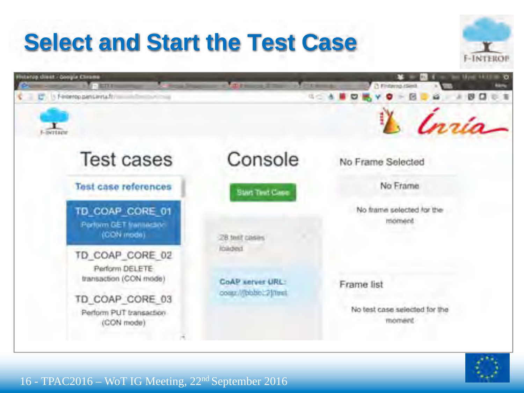## **Select and Start the Test Case**





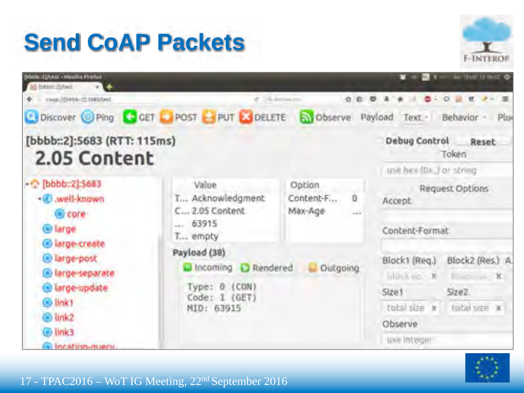## **Send CoAP Packets**





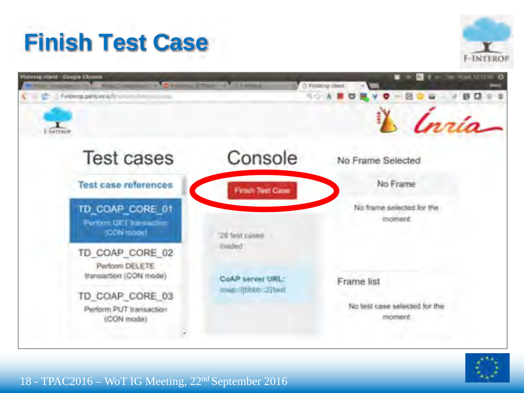## **Finish Test Case**





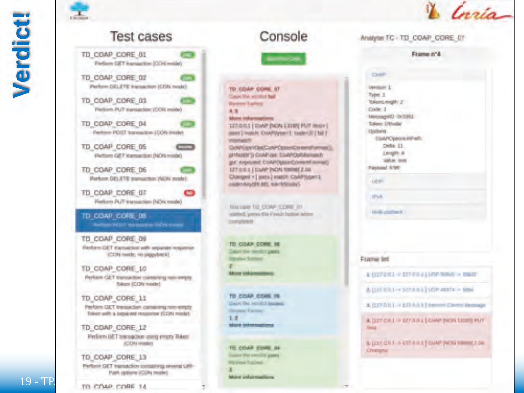Verdict



### **Test cases**



TD COAP CORE 12

TD COAP CORE 13

TO COAP CORE 14

Feeliem GET telenadium using impry Tisken

**ICON IMMIT** 

Perform GET transaction conspirate several URI-Path options (CDN mode):

Console

TO COAP CORE ST **Council Make and Administration Page Rental Factors** 4 节

#### More informations

127/0/13 | DaVP PACAL 13192 PUT resp+] sales | maste Crid/Wyemi1; isuber20 [ Nd ] **PERSONAL PRO** 

CollPrign Opt CollP Option Content (ymsel) **J/HultiV) CUARSE TIAPO/IN/JIMIN** got' expected COAPOLIUS Content syme() 127 0 0.3 | DaAP (NON 19898) 2.04 Charges v [ pats ] match CoAPhpent. AMPAAILER ME, MAcEDIANS

TIM LINE TO COAP CORE ST scanned, 'greenic this Finally bustom whites. Emergilizio di

TO COAP COVE IN Concert Slive yarristic Ligaring Opygeur Susmers

**Science Understand results** 

TO COAR COAR IN Grazed Had beenfield beginning **Gergene Faziono**  $1.7$ **NAMES TO A PROGRAM** 

**TO COAP CORE BE** Game the smoots game. **Physical Sacredo** More informations.

Analytic TC - TD\_COAP\_CORE\_07

Frame n'A

#### **Couple**

**Meetinger** 1. Type: 1 **Tokens maple 21** Code: 1 MessagetO 0x1992 **Token Irbiniki Contacts** EbAPCpboxXiPatt Della 11 Lingary & **SANAY RYSS** Paistowed Schiff **LEW-SPAIN** 

Figure Int

*<i><u>SAMOROSS</u>* 

UISEFORE + EXPERIENCE NON - MINE

4.000 03:1 + xxx = x 1 10 + 2001 - NML

A. (LTF/2.1.1 -> 157 R.R.1 Tennoon Classed Metauge

A (STORE = 187.0.0.2) CHAP (HON SURFERE)" **Command** 

sugar cars a strains (cover pero semistries) **Charged.** 

#### 19 - TP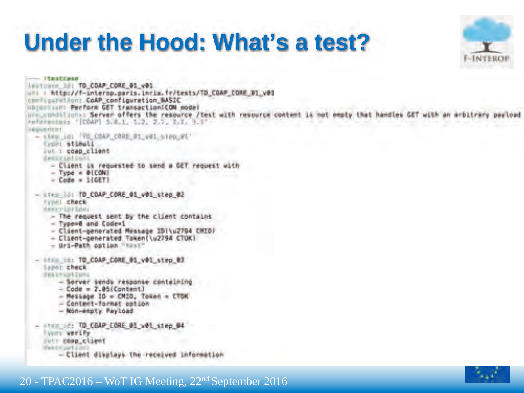### **Under the Hood: What's a test?**



 $-$  150 x 50 a 40 heatcase, 101.70.COAP.CORE.01.v01 WARE : http://f-interop.paris.inrim.fr/tests/TD\_COAP\_COME\_01\_v03 configurations CoAP configuration BASIC Haincrium: Perform GET transaction(CON node) ure conditions: Server offers the resource /test with resource content is not empty that handles GET with an arbitrary pa Folksmanchis '[COAP] 5.8.1, 1.2, 2.7, 1.7, 3.7' **HELLETERS** - sing is: 'TO COAP CORE DI vOI sing mi type: stimpli Jus : coap client Bentrialioni - Client is requested to send a GET request with  $-$  Type  $n$  @ (CON)  $=$  Code  $=$  1(GFT). - ITER (0) TO COAP CORE 01 v01 step 02 **TVI-1 CRECK** demoniantanı - The request sent by the client contains - Type=0 and Code=1 - Client-generated Message IDI\u2794 CMID) - Client-generated Token(\u2794 CTOK) - Uri-Path option "sest" - Afric in: TO COAP CORE 01 v01 step 03 lopes check dealersation: - Server sends response containing  $-$  Code = 2.05(Content)  $-$  Message 10 = CM10, Token = CTDK - Content-format option - Non-espty Payload - ITER 18: TO COAP CORE 01 y01 step 04 Iver: verify potr cosp\_client description: - Client displays the received information

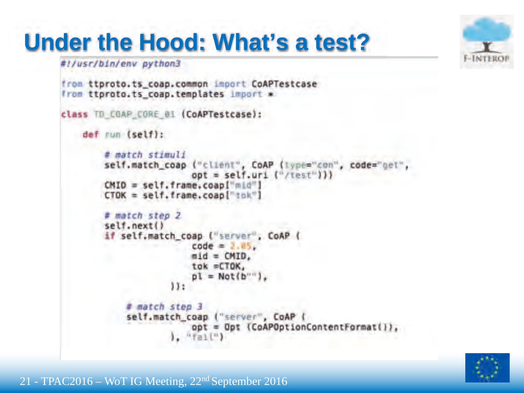## **Under the Hood: What's a test?**



#!/usr/bin/env python3

```
from ttproto.ts_coap.common import CoAPTestcase
from ttproto.ts coap.templates import *
class TD COAP CORE 01 (CoAPTestcase):
  def run (self):
        # match stimuli
        self.match_coap ("client", CoAP (lype="con", code="get"
                         opt = selfּCMID = self.frame.coapl"mid"]
        CTOK = self. frame, coao['tck"]# match step 2
        self.next()
        if self;match coap ("server"; CoAP (
                         code = 2.85.mid = CMD,
                        tok =CTOK,
                         \mathsf{pl} = \mathsf{Not}(\mathsf{b}^{\dots}).
                     11:
            # match step 3
            self.match_coap ("server", CoAP (
                         opt = Opt (CoAPOptionContentFormat()),
                     1. "Tail")
```
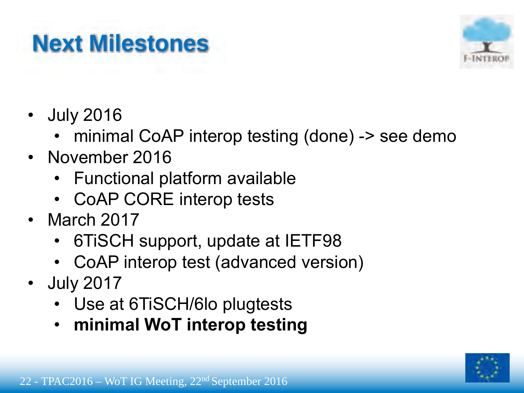## **Next Milestones**



- **July 2016** 
	- minimal CoAP interop testing (done) -> see demo
- November 2016
	- . Functional platform available
	- CoAP CORE interop tests
- $\cdot$  March 2017
	- 6TiSCH support, update at IETF98
	- . CoAP interop test (advanced version)
- July 2017
	- Use at 6TiSCH/6lo plugtests
	- $\cdot$  minimal WoT interop testing

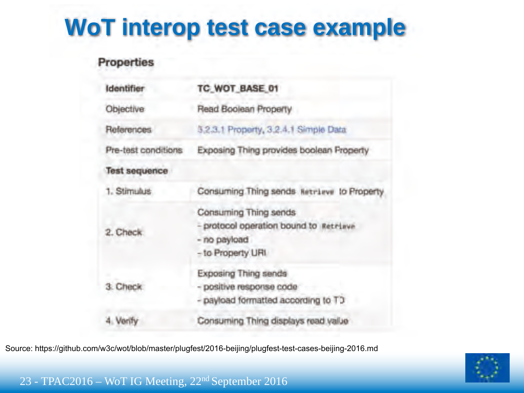### **WoT interop test case example**

#### Properties

| Identifier           | TC_WOT_BASE_01                                                                                       |  |  |
|----------------------|------------------------------------------------------------------------------------------------------|--|--|
| Objective            | Read Boolean Property                                                                                |  |  |
| References           | 5.2.3.1 Property, 3.2.4.1 Simple Data                                                                |  |  |
| Pre-test conditions  | Exposing Thing provides boolean Property                                                             |  |  |
| <b>Test sequence</b> |                                                                                                      |  |  |
| 1. Stimulus          | Consuming Thing sends Retrieve to Property                                                           |  |  |
| Check                | Consuming Thing sends<br>- protocol operation bound to Retrieve<br>- no payload<br>- to Property URI |  |  |
| Check                | Exposing Thing sends<br>- positive response code<br>- payload formatted according to TD              |  |  |
|                      | Consuming Thing displays read value                                                                  |  |  |

Source: https://github.com/w3c/wot/blob/master/plugfest/2016-beijing/plugfest-test-cases-beijing-2016.md

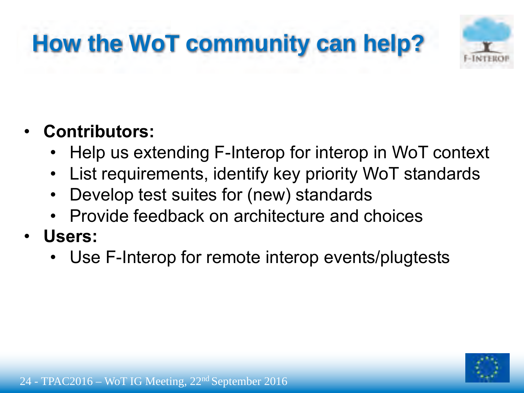## **How the WoT community can help?**



### **Contributors:**

- . Help us extending F-Interop for interop in WoT context
- . List requirements, identify key priority WoT standards
- . Develop test suites for (new) standards
- . Provide feedback on architecture and choices
- **Users:** 
	- . Use F-Interop for remote interop events/plugtests

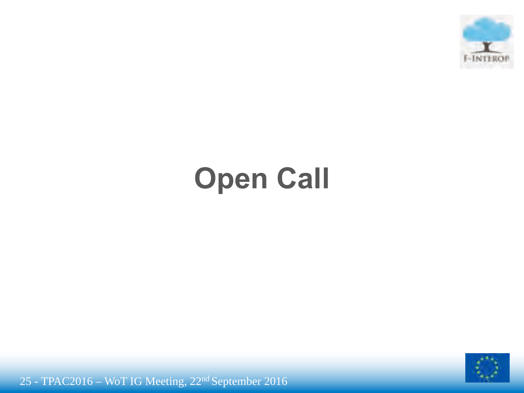

# **Open Call**



25 - TPAC2016 - WoT IG Meeting, 22<sup>nd</sup> September 2016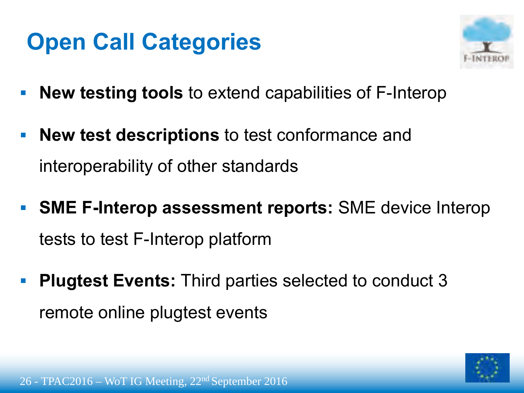### **Open Call Categories**



- **New testing tools to extend capabilities of F-Interop**
- New test descriptions to test conformance and interoperability of other standards
- SME F-Interop assessment reports: SME device Interop tests to test F-Interop platform
- **Plugtest Events:** Third parties selected to conduct 3 remote online plugtest events

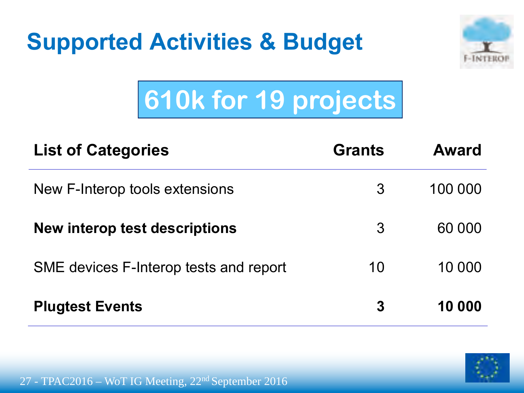



# **610k for 19 projects**

| <b>List of Categories</b>              | <b>Grants</b> | <b>Award</b> |
|----------------------------------------|---------------|--------------|
| New F-Interop tools extensions         | 3             | 100 000      |
| <b>New interop test descriptions</b>   | 3             | 60 000       |
| SME devices F-Interop tests and report | 10            | 10 000       |
| <b>Plugtest Events</b>                 | 3             | 10 000       |

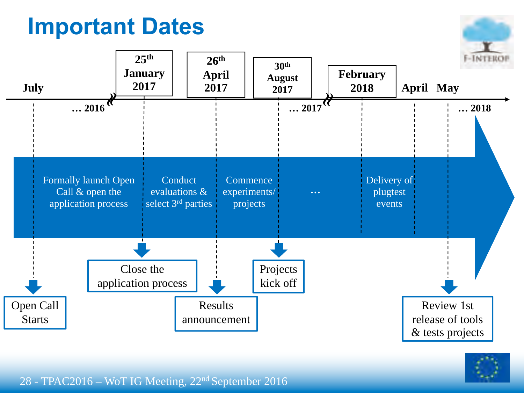### **Important Dates**







#### 28 - TPAC2016 – WoT IG Meeting, 22<sup>nd</sup> September 2016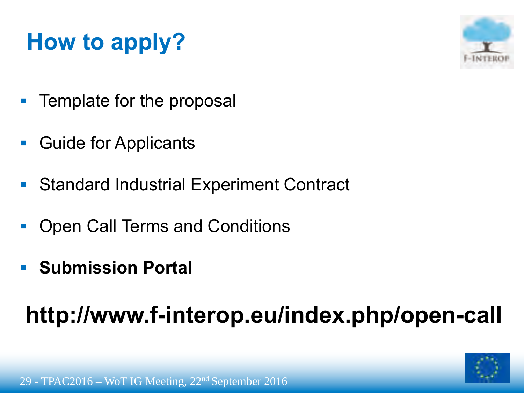### **How to apply?**



- Template for the proposal
- **Guide for Applicants**
- Standard Industrial Experiment Contract
- Open Call Terms and Conditions
- **Submission Portal**

### http://www.f-interop.eu/index.php/open-call